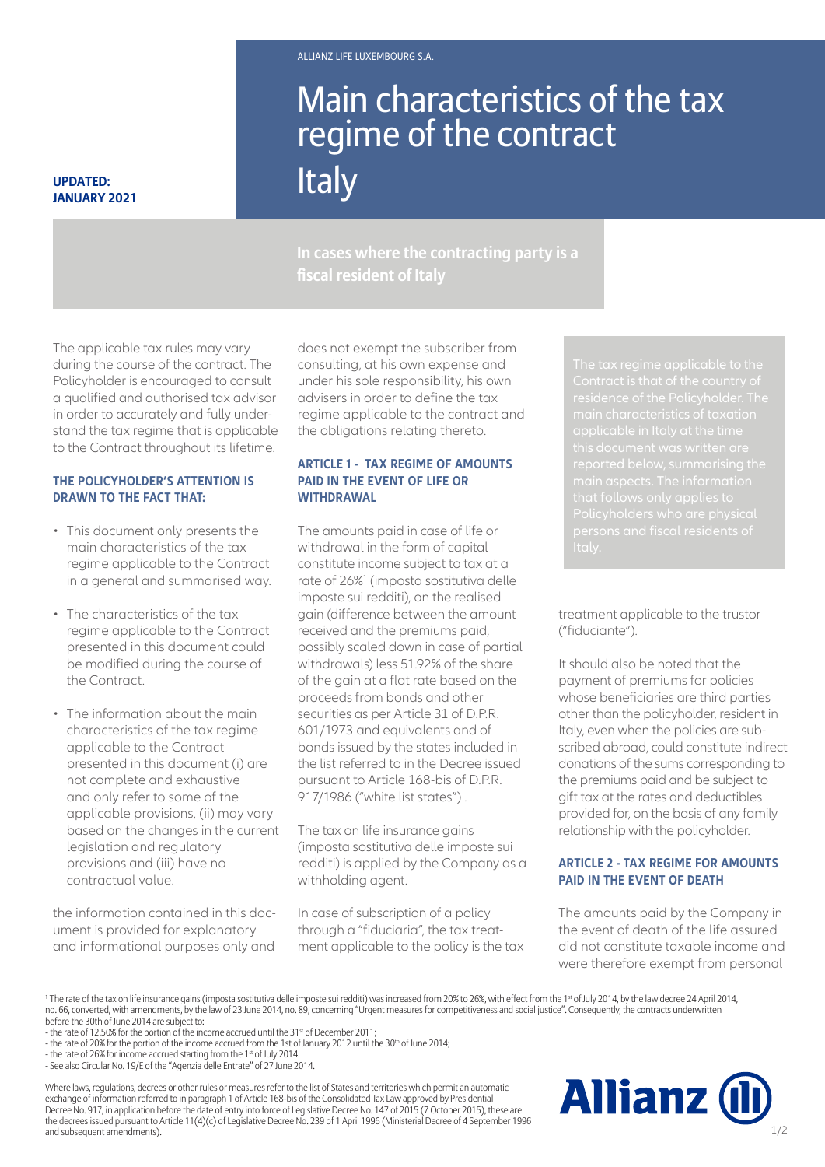# Main characteristics of the tax regime of the contract

# **UPDATED: Italy**

**In cases where the contracting party is a fiscal resident of Italy**

The applicable tax rules may vary during the course of the contract. The Policyholder is encouraged to consult a qualified and authorised tax advisor in order to accurately and fully understand the tax regime that is applicable to the Contract throughout its lifetime.

#### **THE POLICYHOLDER'S ATTENTION IS DRAWN TO THE FACT THAT:**

- This document only presents the main characteristics of the tax regime applicable to the Contract in a general and summarised way.
- The characteristics of the tax regime applicable to the Contract presented in this document could be modified during the course of the Contract.
- The information about the main characteristics of the tax regime applicable to the Contract presented in this document (i) are not complete and exhaustive and only refer to some of the applicable provisions, (ii) may vary based on the changes in the current legislation and regulatory provisions and (iii) have no contractual value.

the information contained in this document is provided for explanatory and informational purposes only and

does not exempt the subscriber from consulting, at his own expense and under his sole responsibility, his own advisers in order to define the tax regime applicable to the contract and the obligations relating thereto.

#### **ARTICLE 1 - TAX REGIME OF AMOUNTS PAID IN THE EVENT OF LIFE OR WITHDRAWAL**

pursuant to Article 168-bis or D<br>917/1986 ("white list states") . The amounts paid in case of life or withdrawal in the form of capital constitute income subject to tax at a rate of 26%<sup>1</sup> (imposta sostitutiva delle imposte sui redditi), on the realised gain (difference between the amount received and the premiums paid, possibly scaled down in case of partial withdrawals) less 51.92% of the share of the gain at a flat rate based on the proceeds from bonds and other securities as per Article 31 of D.P.R. 601/1973 and equivalents and of bonds issued by the states included in the list referred to in the Decree issued pursuant to Article 168-bis of D.P.R.

The tax on life insurance gains (imposta sostitutiva delle imposte sui redditi) is applied by the Company as a withholding agent.

In case of subscription of a policy through a "fiduciaria", the tax treatment applicable to the policy is the tax

treatment applicable to the trustor ("fiduciante").

It should also be noted that the payment of premiums for policies whose beneficiaries are third parties other than the policyholder, resident in Italy, even when the policies are subscribed abroad, could constitute indirect donations of the sums corresponding to the premiums paid and be subject to gift tax at the rates and deductibles provided for, on the basis of any family relationship with the policyholder.

# **ARTICLE 2 - TAX REGIME FOR AMOUNTS PAID IN THE EVENT OF DEATH**

The amounts paid by the Company in the event of death of the life assured did not constitute taxable income and were therefore exempt from personal

 $^{\rm 1}$  The rate of the tax on life insurance gains (imposta sostitutiva delle imposte sui redditi) was increased from 20% to 26%, with effect from the 1s<sup>t</sup> of July 2014, by the law decree 24 April 2014, no. 66, converted, with amendments, by the law of 23 June 2014, no. 89, concerning "Urgent measures for competitiveness and social justice". Consequently, the contracts underwritten before the 30th of June 2014 are subject to:

Where laws, regulations, decrees or other rules or measures refer to the list of States and territories which permit an automatic exchange of information referred to in paragraph 1 of Article 168-bis of the Consolidated Tax Law approved by Presidential Decree No. 917, in application before the date of entry into force of Legislative Decree No. 147 of 2015 (7 October 2015), these are the decrees issued pursuant to Article 11(4)(c) of Legislative Decree No. 239 of 1 April 1996 (Ministerial Decree of 4 September 1996 and subsequent amendments).



<sup>-</sup> the rate of 12.50% for the portion of the income accrued until the 31<sup>st</sup> of December 2011;

<sup>-</sup> the rate of 20% for the portion of the income accrued from the 1st of January 2012 until the 30th of June 2014;

<sup>-</sup> the rate of 26% for income accrued starting from the 1st of July 2014.

<sup>-</sup> See also Circular No. 19/E of the "Agenzia delle Entrate" of 27 June 2014.